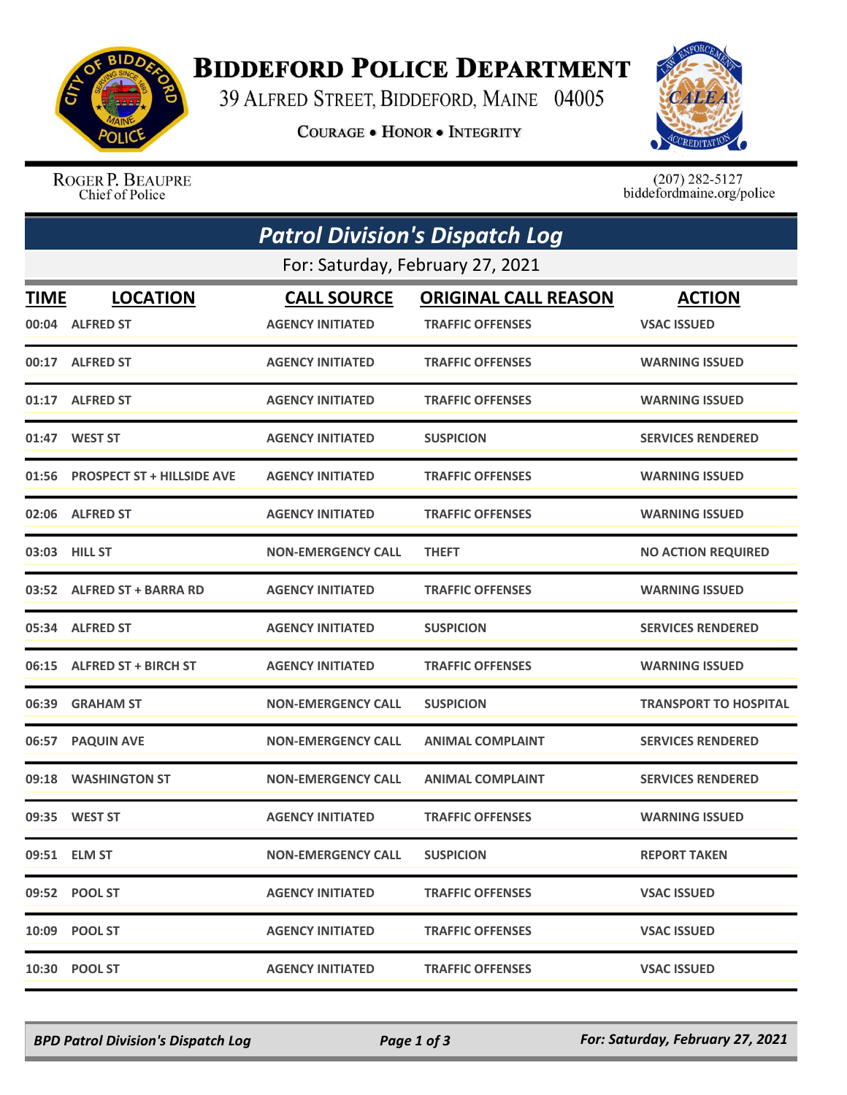

## **BIDDEFORD POLICE DEPARTMENT**

39 ALFRED STREET, BIDDEFORD, MAINE 04005

**COURAGE . HONOR . INTEGRITY** 



ROGER P. BEAUPRE Chief of Police

 $(207)$  282-5127<br>biddefordmaine.org/police

|                                  | <b>Patrol Division's Dispatch Log</b> |                           |                             |                              |  |  |  |
|----------------------------------|---------------------------------------|---------------------------|-----------------------------|------------------------------|--|--|--|
| For: Saturday, February 27, 2021 |                                       |                           |                             |                              |  |  |  |
| TIME                             | <b>LOCATION</b>                       | <b>CALL SOURCE</b>        | <b>ORIGINAL CALL REASON</b> | <b>ACTION</b>                |  |  |  |
| 00:04                            | <b>ALFRED ST</b>                      | <b>AGENCY INITIATED</b>   | <b>TRAFFIC OFFENSES</b>     | <b>VSAC ISSUED</b>           |  |  |  |
|                                  | 00:17 ALFRED ST                       | <b>AGENCY INITIATED</b>   | <b>TRAFFIC OFFENSES</b>     | <b>WARNING ISSUED</b>        |  |  |  |
|                                  | 01:17 ALFRED ST                       | <b>AGENCY INITIATED</b>   | <b>TRAFFIC OFFENSES</b>     | <b>WARNING ISSUED</b>        |  |  |  |
|                                  | 01:47 WEST ST                         | <b>AGENCY INITIATED</b>   | <b>SUSPICION</b>            | <b>SERVICES RENDERED</b>     |  |  |  |
|                                  | 01:56 PROSPECT ST + HILLSIDE AVE      | <b>AGENCY INITIATED</b>   | <b>TRAFFIC OFFENSES</b>     | <b>WARNING ISSUED</b>        |  |  |  |
|                                  | 02:06 ALFRED ST                       | <b>AGENCY INITIATED</b>   | <b>TRAFFIC OFFENSES</b>     | <b>WARNING ISSUED</b>        |  |  |  |
|                                  | 03:03 HILL ST                         | <b>NON-EMERGENCY CALL</b> | <b>THEFT</b>                | <b>NO ACTION REQUIRED</b>    |  |  |  |
|                                  | 03:52 ALFRED ST + BARRA RD            | <b>AGENCY INITIATED</b>   | <b>TRAFFIC OFFENSES</b>     | <b>WARNING ISSUED</b>        |  |  |  |
|                                  | 05:34 ALFRED ST                       | <b>AGENCY INITIATED</b>   | <b>SUSPICION</b>            | <b>SERVICES RENDERED</b>     |  |  |  |
| 06:15                            | <b>ALFRED ST + BIRCH ST</b>           | <b>AGENCY INITIATED</b>   | <b>TRAFFIC OFFENSES</b>     | <b>WARNING ISSUED</b>        |  |  |  |
|                                  | 06:39 GRAHAM ST                       | <b>NON-EMERGENCY CALL</b> | <b>SUSPICION</b>            | <b>TRANSPORT TO HOSPITAL</b> |  |  |  |
| 06:57                            | <b>PAQUIN AVE</b>                     | <b>NON-EMERGENCY CALL</b> | <b>ANIMAL COMPLAINT</b>     | <b>SERVICES RENDERED</b>     |  |  |  |
| 09:18                            | <b>WASHINGTON ST</b>                  | <b>NON-EMERGENCY CALL</b> | <b>ANIMAL COMPLAINT</b>     | <b>SERVICES RENDERED</b>     |  |  |  |
|                                  | 09:35 WEST ST                         | <b>AGENCY INITIATED</b>   | <b>TRAFFIC OFFENSES</b>     | <b>WARNING ISSUED</b>        |  |  |  |
|                                  | 09:51 ELM ST                          | <b>NON-EMERGENCY CALL</b> | <b>SUSPICION</b>            | <b>REPORT TAKEN</b>          |  |  |  |
|                                  | 09:52 POOL ST                         | <b>AGENCY INITIATED</b>   | <b>TRAFFIC OFFENSES</b>     | <b>VSAC ISSUED</b>           |  |  |  |
|                                  | 10:09 POOL ST                         | <b>AGENCY INITIATED</b>   | <b>TRAFFIC OFFENSES</b>     | <b>VSAC ISSUED</b>           |  |  |  |
|                                  | 10:30 POOL ST                         | <b>AGENCY INITIATED</b>   | <b>TRAFFIC OFFENSES</b>     | <b>VSAC ISSUED</b>           |  |  |  |

*BPD Patrol Division's Dispatch Log Page 1 of 3 For: Saturday, February 27, 2021*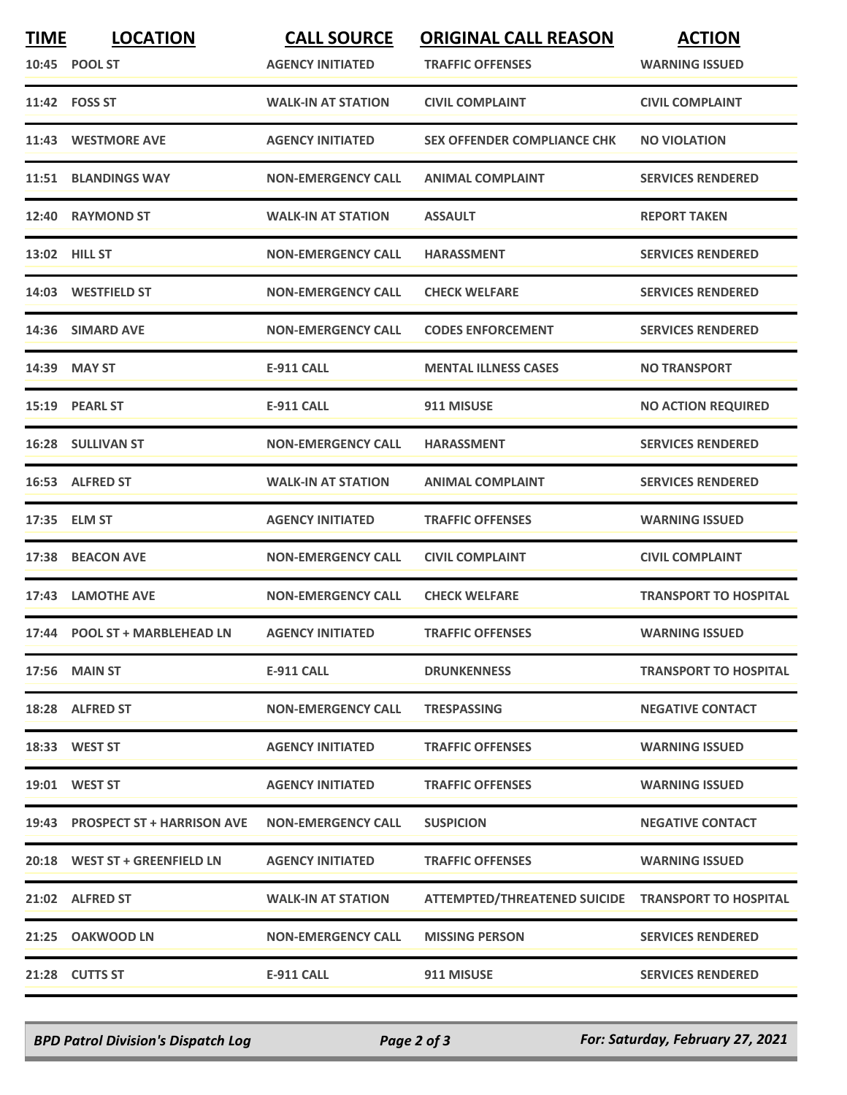| <b>TIME</b> | <b>LOCATION</b><br>10:45 POOL ST | <b>CALL SOURCE</b><br><b>AGENCY INITIATED</b> | <b>ORIGINAL CALL REASON</b><br><b>TRAFFIC OFFENSES</b> | <b>ACTION</b><br><b>WARNING ISSUED</b> |
|-------------|----------------------------------|-----------------------------------------------|--------------------------------------------------------|----------------------------------------|
|             | 11:42 FOSS ST                    | <b>WALK-IN AT STATION</b>                     | <b>CIVIL COMPLAINT</b>                                 | <b>CIVIL COMPLAINT</b>                 |
|             | 11:43 WESTMORE AVE               | <b>AGENCY INITIATED</b>                       | <b>SEX OFFENDER COMPLIANCE CHK</b>                     | <b>NO VIOLATION</b>                    |
|             | 11:51 BLANDINGS WAY              | <b>NON-EMERGENCY CALL</b>                     | <b>ANIMAL COMPLAINT</b>                                | <b>SERVICES RENDERED</b>               |
|             | 12:40 RAYMOND ST                 | <b>WALK-IN AT STATION</b>                     | <b>ASSAULT</b>                                         | <b>REPORT TAKEN</b>                    |
|             | 13:02 HILL ST                    | <b>NON-EMERGENCY CALL</b>                     | <b>HARASSMENT</b>                                      | <b>SERVICES RENDERED</b>               |
|             | 14:03 WESTFIELD ST               | <b>NON-EMERGENCY CALL</b>                     | <b>CHECK WELFARE</b>                                   | <b>SERVICES RENDERED</b>               |
|             | 14:36 SIMARD AVE                 | <b>NON-EMERGENCY CALL</b>                     | <b>CODES ENFORCEMENT</b>                               | <b>SERVICES RENDERED</b>               |
|             | 14:39 MAY ST                     | <b>E-911 CALL</b>                             | <b>MENTAL ILLNESS CASES</b>                            | <b>NO TRANSPORT</b>                    |
|             | 15:19 PEARL ST                   | <b>E-911 CALL</b>                             | 911 MISUSE                                             | <b>NO ACTION REQUIRED</b>              |
|             | 16:28 SULLIVAN ST                | <b>NON-EMERGENCY CALL</b>                     | <b>HARASSMENT</b>                                      | <b>SERVICES RENDERED</b>               |
|             | 16:53 ALFRED ST                  | <b>WALK-IN AT STATION</b>                     | <b>ANIMAL COMPLAINT</b>                                | <b>SERVICES RENDERED</b>               |
|             | 17:35 ELM ST                     | <b>AGENCY INITIATED</b>                       | <b>TRAFFIC OFFENSES</b>                                | <b>WARNING ISSUED</b>                  |
| 17:38       | <b>BEACON AVE</b>                | <b>NON-EMERGENCY CALL</b>                     | <b>CIVIL COMPLAINT</b>                                 | <b>CIVIL COMPLAINT</b>                 |
|             | 17:43 LAMOTHE AVE                | <b>NON-EMERGENCY CALL</b>                     | <b>CHECK WELFARE</b>                                   | <b>TRANSPORT TO HOSPITAL</b>           |
|             | 17:44 POOL ST + MARBLEHEAD LN    | <b>AGENCY INITIATED</b>                       | <b>TRAFFIC OFFENSES</b>                                | <b>WARNING ISSUED</b>                  |
|             | 17:56 MAIN ST                    | <b>E-911 CALL</b>                             | <b>DRUNKENNESS</b>                                     | <b>TRANSPORT TO HOSPITAL</b>           |
|             | 18:28 ALFRED ST                  | <b>NON-EMERGENCY CALL</b>                     | <b>TRESPASSING</b>                                     | <b>NEGATIVE CONTACT</b>                |
|             | 18:33 WEST ST                    | <b>AGENCY INITIATED</b>                       | <b>TRAFFIC OFFENSES</b>                                | <b>WARNING ISSUED</b>                  |
|             | 19:01 WEST ST                    | <b>AGENCY INITIATED</b>                       | <b>TRAFFIC OFFENSES</b>                                | <b>WARNING ISSUED</b>                  |
|             | 19:43 PROSPECT ST + HARRISON AVE | <b>NON-EMERGENCY CALL</b>                     | <b>SUSPICION</b>                                       | <b>NEGATIVE CONTACT</b>                |
|             | 20:18 WEST ST + GREENFIELD LN    | <b>AGENCY INITIATED</b>                       | <b>TRAFFIC OFFENSES</b>                                | <b>WARNING ISSUED</b>                  |
|             | 21:02 ALFRED ST                  | <b>WALK-IN AT STATION</b>                     | ATTEMPTED/THREATENED SUICIDE TRANSPORT TO HOSPITAL     |                                        |
|             | 21:25 OAKWOOD LN                 | <b>NON-EMERGENCY CALL</b>                     | <b>MISSING PERSON</b>                                  | <b>SERVICES RENDERED</b>               |
|             | 21:28 CUTTS ST                   | <b>E-911 CALL</b>                             | 911 MISUSE                                             | <b>SERVICES RENDERED</b>               |

*BPD Patrol Division's Dispatch Log Page 2 of 3 For: Saturday, February 27, 2021*